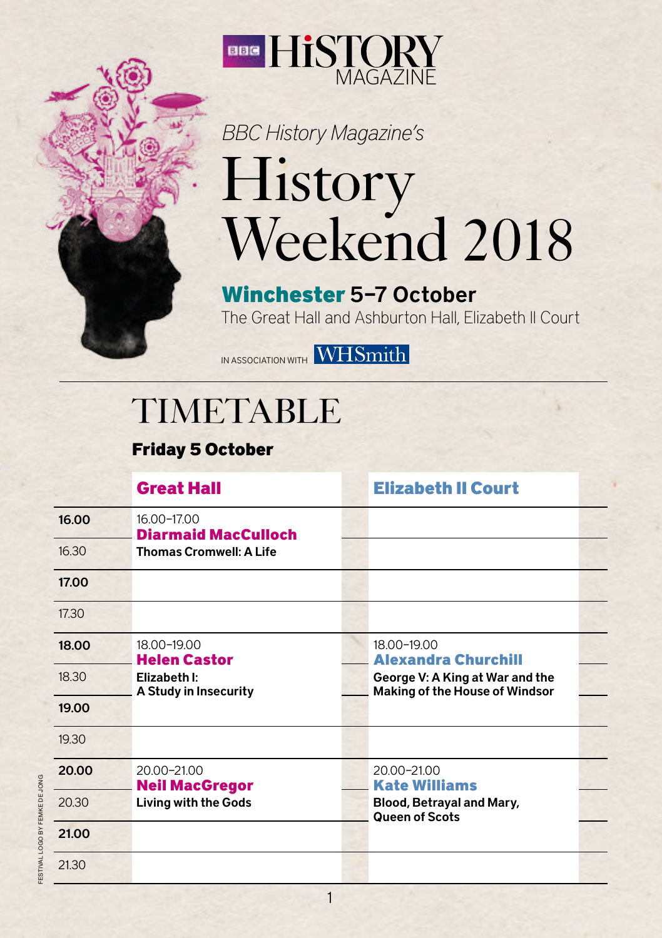

## *BBC History Magazine's*  History Weekend 2018

Winchester 5–7 October The Great Hall and Ashburton Hall, Elizabeth II Court

IN ASSOCIATION WITH WHSmith

## TIMETABLE

Friday 5 October

|       | <b>Great Hall</b>                                                           | <b>Elizabeth II Court</b>                                                |
|-------|-----------------------------------------------------------------------------|--------------------------------------------------------------------------|
| 16.00 | 16.00-17.00<br><b>Diarmaid MacCulloch</b><br><b>Thomas Cromwell: A Life</b> |                                                                          |
| 16.30 |                                                                             |                                                                          |
| 17.00 |                                                                             |                                                                          |
| 17.30 |                                                                             |                                                                          |
| 18.00 | 18.00-19.00<br><b>Helen Castor</b><br>Elizabeth I:<br>A Study in Insecurity | 18.00-19.00<br><b>Alexandra Churchill</b>                                |
| 18.30 |                                                                             | George V: A King at War and the<br><b>Making of the House of Windsor</b> |
| 19.00 |                                                                             |                                                                          |
| 19.30 |                                                                             |                                                                          |
| 20.00 | 20.00-21.00<br><b>Neil MacGregor</b><br><b>Living with the Gods</b>         | 20.00-21.00<br><b>Kate Williams</b>                                      |
| 20.30 |                                                                             | Blood, Betrayal and Mary,<br><b>Queen of Scots</b>                       |
| 21.00 |                                                                             |                                                                          |
| 21.30 |                                                                             |                                                                          |

1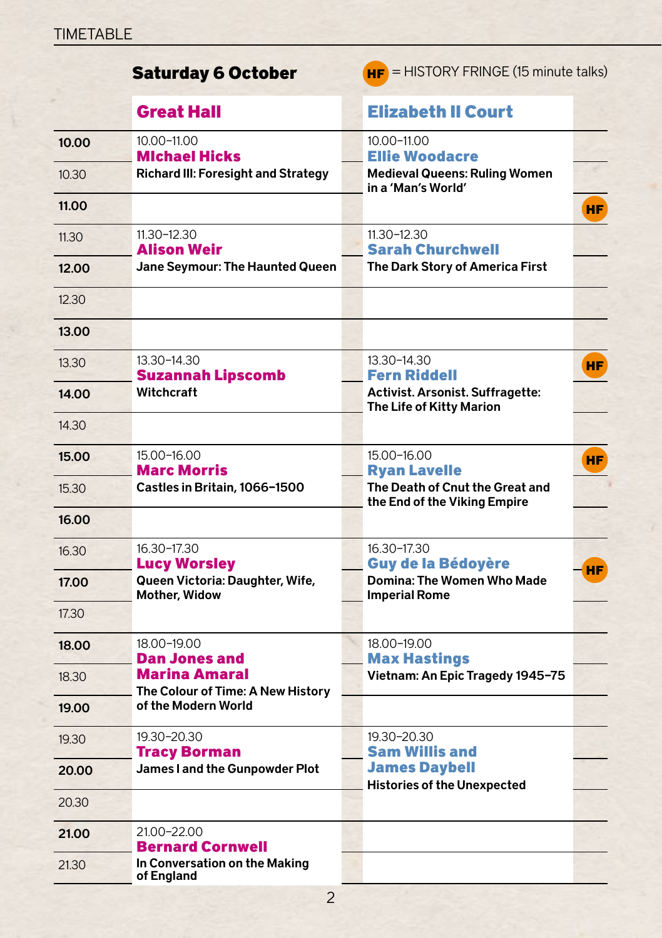|       | <b>Saturday 6 October</b>                                                         | $H_F$ = HISTORY FRINGE (15 minute talks) |                                                                 |           |
|-------|-----------------------------------------------------------------------------------|------------------------------------------|-----------------------------------------------------------------|-----------|
|       | <b>Great Hall</b>                                                                 |                                          | <b>Elizabeth II Court</b>                                       |           |
| 10.00 | 10.00-11.00<br><b>Michael Hicks</b><br><b>Richard III: Foresight and Strategy</b> |                                          | 10.00-11.00<br><b>Ellie Woodacre</b>                            |           |
| 10.30 |                                                                                   |                                          | <b>Medieval Queens: Ruling Women</b><br>in a 'Man's World'      |           |
| 11.00 |                                                                                   |                                          |                                                                 | HF        |
| 11.30 | $11.30 - 12.30$<br>Alison Weir                                                    |                                          | $11.30 - 12.30$<br><b>Sarah Churchwell</b>                      |           |
| 12.00 | Jane Seymour: The Haunted Queen                                                   |                                          | The Dark Story of America First                                 |           |
| 12.30 |                                                                                   |                                          |                                                                 |           |
| 13.00 |                                                                                   |                                          |                                                                 |           |
| 13.30 | 13.30-14.30<br><b>Suzannah Lipscomb</b>                                           |                                          | 13.30-14.30<br><b>Fern Riddell</b>                              | HF.       |
| 14.00 | Witchcraft                                                                        |                                          | Activist. Arsonist. Suffragette:<br>The Life of Kitty Marion    |           |
| 14.30 |                                                                                   |                                          |                                                                 |           |
| 15.00 | 15.00-16.00<br><b>Marc Morris</b>                                                 |                                          | 15.00-16.00<br><b>Ryan Lavelle</b>                              | HF.       |
| 15.30 | Castles in Britain, 1066-1500                                                     |                                          | The Death of Cnut the Great and<br>the End of the Viking Empire |           |
| 16.00 |                                                                                   |                                          |                                                                 |           |
| 16.30 | 16.30-17.30<br><b>Lucy Worsley</b>                                                |                                          | 16.30-17.30<br><b>Guy de la Bédoyère</b>                        |           |
| 17.00 | Queen Victoria: Daughter, Wife,<br>Mother, Widow                                  |                                          | Domina: The Women Who Made<br><b>Imperial Rome</b>              | <b>HF</b> |
| 17.30 |                                                                                   |                                          |                                                                 |           |
| 18.00 | 18.00-19.00<br><b>Dan Jones and</b>                                               |                                          | 18.00-19.00<br><b>Max Hastings</b>                              |           |
| 18.30 | Marina Amaral                                                                     |                                          | Vietnam: An Epic Tragedy 1945-75                                |           |
| 19.00 | The Colour of Time: A New History<br>of the Modern World                          |                                          |                                                                 |           |
| 19.30 | 19.30-20.30<br><b>Tracy Borman</b>                                                |                                          | 19.30-20.30<br><b>Sam Willis and</b>                            |           |
| 20.00 | James I and the Gunpowder Plot                                                    |                                          | <b>James Daybell</b>                                            |           |
| 20.30 |                                                                                   |                                          | <b>Histories of the Unexpected</b>                              |           |
| 21.00 | 21.00-22.00<br><b>Bernard Cornwell</b>                                            |                                          |                                                                 |           |
| 21.30 | In Conversation on the Making<br>of England                                       |                                          |                                                                 |           |